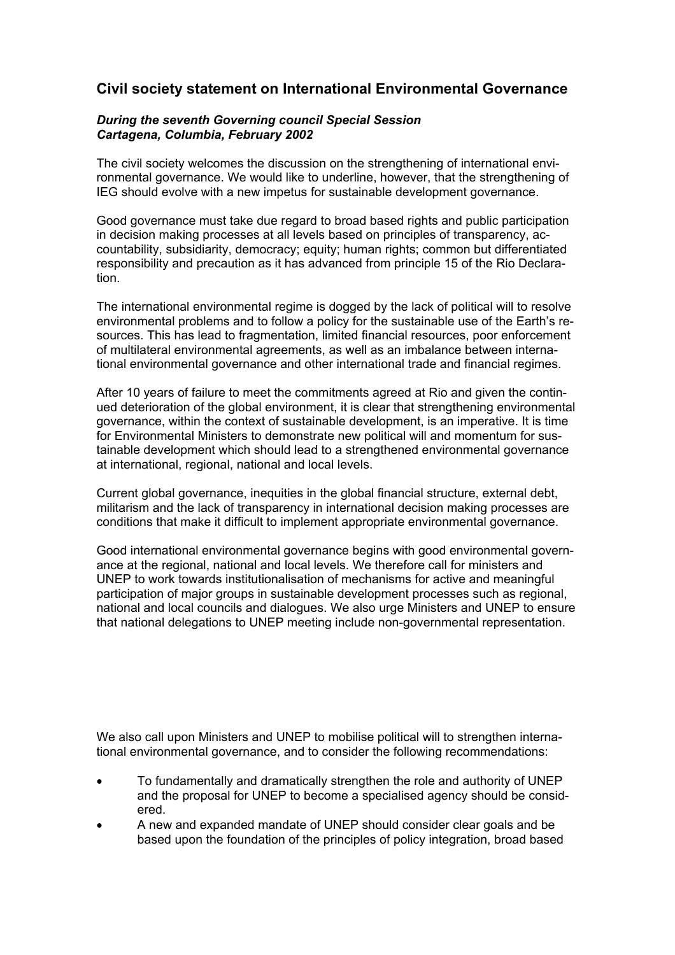## **Civil society statement on International Environmental Governance**

## *During the seventh Governing council Special Session Cartagena, Columbia, February 2002*

The civil society welcomes the discussion on the strengthening of international environmental governance. We would like to underline, however, that the strengthening of IEG should evolve with a new impetus for sustainable development governance.

Good governance must take due regard to broad based rights and public participation in decision making processes at all levels based on principles of transparency, accountability, subsidiarity, democracy; equity; human rights; common but differentiated responsibility and precaution as it has advanced from principle 15 of the Rio Declaration.

The international environmental regime is dogged by the lack of political will to resolve environmental problems and to follow a policy for the sustainable use of the Earth's resources. This has lead to fragmentation, limited financial resources, poor enforcement of multilateral environmental agreements, as well as an imbalance between international environmental governance and other international trade and financial regimes.

After 10 years of failure to meet the commitments agreed at Rio and given the continued deterioration of the global environment, it is clear that strengthening environmental governance, within the context of sustainable development, is an imperative. It is time for Environmental Ministers to demonstrate new political will and momentum for sustainable development which should lead to a strengthened environmental governance at international, regional, national and local levels.

Current global governance, inequities in the global financial structure, external debt, militarism and the lack of transparency in international decision making processes are conditions that make it difficult to implement appropriate environmental governance.

Good international environmental governance begins with good environmental governance at the regional, national and local levels. We therefore call for ministers and UNEP to work towards institutionalisation of mechanisms for active and meaningful participation of major groups in sustainable development processes such as regional, national and local councils and dialogues. We also urge Ministers and UNEP to ensure that national delegations to UNEP meeting include non-governmental representation.

We also call upon Ministers and UNEP to mobilise political will to strengthen international environmental governance, and to consider the following recommendations:

- To fundamentally and dramatically strengthen the role and authority of UNEP and the proposal for UNEP to become a specialised agency should be considered.
- A new and expanded mandate of UNEP should consider clear goals and be based upon the foundation of the principles of policy integration, broad based